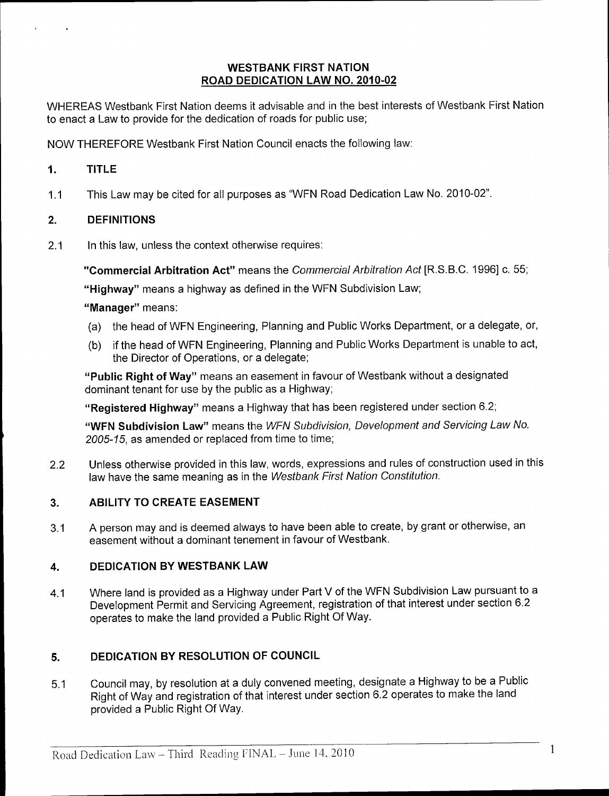#### WESTBANK FIRST NATION ROAD DEDICATION LAW NO. 2010-02

WHEREAS Westbank First Nation deems it advisable and in the best interests of Westbank First Nation to enact a Law to provide for the dedication of roads for public use;

NOW THEREFORE Westbank First Nation Council enacts the following law:

#### 1. TITLE

1.1 This Law may be cited for all purposes as "WFN Road Dedication Law No. 2010-02".

## 2. DEFINITIONS

2.1 In this law, unless the context otherwise requires:

"Commercial Arbitration Act" means the Commercial Arbitration Act [R.S.B.C. 1996] c. 55;

"Highway" means a highway as defined in the WFN Subdivision Law;

#### "Manager" means:

- a) the head of WFN Engineering, Planning and Public Works Department, or <sup>a</sup> delegate, or,
- b) if the head of WFN Engineering, Planning and Public Works Department is unable to act, the Director of Operations, or a delegate;

Public Right of Way" means an easement in favour of Westbank without <sup>a</sup> designated dominant tenant for use by the public as a Highway;

Registered Highway" means <sup>a</sup> Highway that has been registered under section 6.2;

"WFN Subdivision Law" means the WFN Subdivision, Development and Servicing Law No. 2005-15, as amended or replaced from time to time;

2.2 Unless otherwise provided in this law, words, expressions and rules of construction used in this law have the same meaning as in the Westbank First Nation Constitution.

#### 3. ABILITY TO CREATE EASEMENT

3.1 A person may and is deemed always to have been able to create, by grant or otherwise, an easement without a dominant tenement in favour of Westbank.

#### 4. DEDICATION BY WESTBANK LAW

4.1 Where land is provided as a Highway under Part V of the WFN Subdivision Law pursuant to a Development Permit and Servicing Agreement, registration of that interest under section 6.2 operates to make the land provided a Public Right Of Way.

## 5. DEDICATION BY RESOLUTION OF COUNCIL

5.1 Council may, by resolution at <sup>a</sup> duly convened meeting, designate a Highway to be <sup>a</sup> Public Right of Way and registration of that interest under section 6.2 operates to make the land provided <sup>a</sup> Public Right Of Way.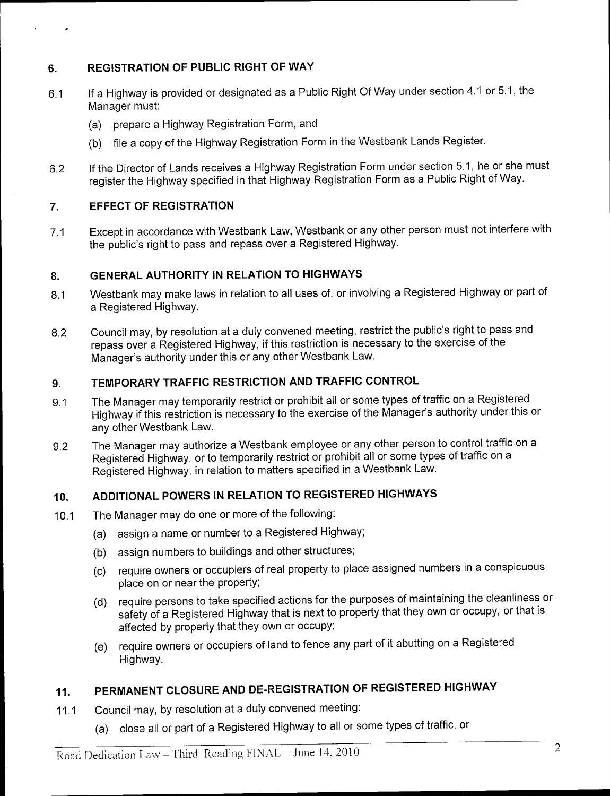# 6. REGISTRATION OF PUBLIC RIGHT OF WAY

- 6.1 If <sup>a</sup> Highway is provided or designated as <sup>a</sup> Public Right Of Way under section 4.1 or 5.1, the Manager must:
	- a) prepare <sup>a</sup> Highway Registration Form, and
	- b) file <sup>a</sup> copy of the Highway Registration Form in the Westbank Lands Register.
- 6.2 If the Director of Lands receives <sup>a</sup> Highway Registration Form under section 5. 1, he or she must register the Highway specified in that Highway Registration Form as a Public Right of Way.

## 7. EFFECT OF REGISTRATION

7.1 Except in accordance with Westbank Law, Westbank or any other person must not interfere with the public'sright to pass and repass over <sup>a</sup> Registered Highway.

## 8. GENERAL AUTHORITY IN RELATION TO HIGHWAYS

- 8.1 Westbank may make laws in relation to all uses of, or involving a Registered Highway or part of a Registered Highway.
- 8.2 Council may, by resolution at <sup>a</sup> duly convened meeting, restrict the public's right to pass and repass over a Registered Highway, if this restriction is necessary to the exercise of the Council may, by resolution at a duly convened meeting, rest<br>repass over a Registered Highway, if this restriction is nece<br>Manager's authority under this or any other Westbank Law.

## 9. TEMPORARY TRAFFIC RESTRICTION AND TRAFFIC CONTROL

- 9.1 The Manager may temporarily restrict or prohibit all or some types of traffic on a Registered Highway if this restriction is necessary to the exercise of the Manager's authority under this or any other Westbank Law.
- 9.2 The Manager may authorize <sup>a</sup> Westbank employee or any other person to control traffic on a Registered Highway, or to temporarily restrict or prohibit all or some types of traffic on a Registered Highway, in relation to matters specified in a Westbank Law.

#### 10. ADDITIONAL POWERS IN RELATION TO REGISTERED HIGHWAYS

- 10.1 The Manager may do one or more of the following:
	- a) assign <sup>a</sup> name or number to <sup>a</sup> Registered Highway;
	- b) assign numbers to buildings and other structures;
	- c) require owners or occupiers of real property to place assigned numbers in <sup>a</sup> conspicuous place on or near the property;
	- d) require persons to take specified actions for the purposes of maintaining the cleanliness or safety of a Registered Highway that is next to property that they own or occupy, or that is affected by property that they own or occupy;
	- e) require owners or occupiers of land to fence any part of it abutting on <sup>a</sup> Registered Highway.

# 11. PERMANENT CLOSURE AND DE- REGISTRATION OF REGISTERED HIGHWAY

- 11.1 Council may, by resolution at <sup>a</sup> duly convened meeting:
	- a) close all or part of <sup>a</sup> Registered Highway to all or some types of traffic, or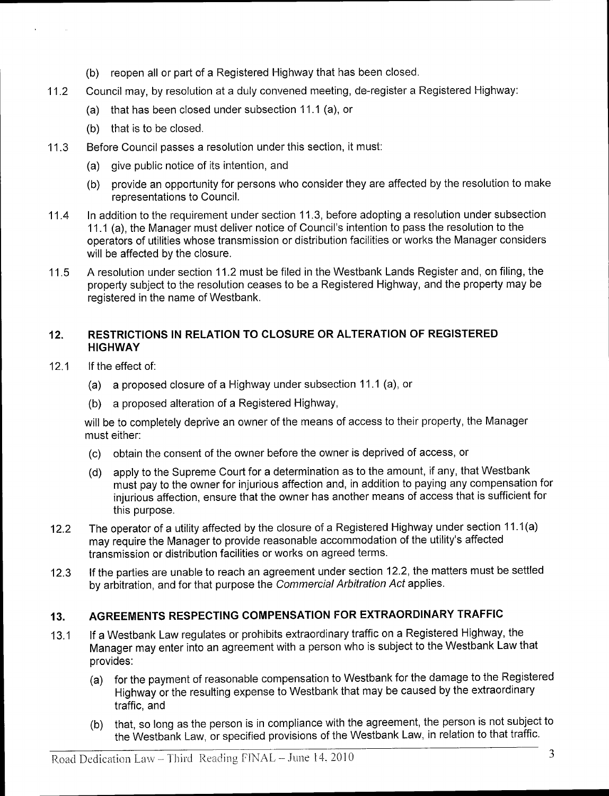- b) reopen all or part of <sup>a</sup> Registered Highway that has been closed.
- 11.2 Council may, by resolution at <sup>a</sup> duly convened meeting, de- register <sup>a</sup> Registered Highway:
	- a) that has been closed under subsection 11.1 (a), or
	- b) that is to be closed.
- 11.3 Before Council passes <sup>a</sup> resolution under this section, it must:
	- a) give public notice of its intention, and
	- b) provide an opportunity for persons who consider they are affected by the resolution to make representations to Council.
- 11.4 In addition to the requirement under section 11.3, before adopting <sup>a</sup> resolution under subsection 11.1 (a), the Manager must deliver notice of Council'sintention to pass the resolution to the operators of utilities whose transmission or distribution facilities or works the Manager considers will be affected by the closure.
- 11.5 <sup>A</sup> resolution under section 11.2 must be filed in the Westbank Lands Register and, on filing, the property subject to the resolution ceases to be a Registered Highway, and the property may be registered in the name of Westbank.

## 12. RESTRICTIONS IN RELATION TO CLOSURE OR ALTERATION OF REGISTERED **HIGHWAY**

- 12.1 If the effect of:
	- a) <sup>a</sup> proposed closure of <sup>a</sup> Highway under subsection 11.1 (a), or
	- b) a proposed alteration of <sup>a</sup> Registered Highway,

will be to completely deprive an owner of the means of access to their property, the Manager must either:

- c) obtain the consent of the owner before the owner is deprived of access, or
- d) apply to the Supreme Court for <sup>a</sup> determination as to the amount, if any, that Westbank must pay to the owner for injurious affection and, in addition to paying any compensation for injurious affection, ensure that the owner has another means of access that is sufficient for this purpose.
- 12.2 The operator of a utility affected by the closure of a Registered Highway under section 11.1(a) may require the Manager to provide reasonable accommodation of the utility's affected transmission or distribution facilities or works on agreed terms.
- 12.3 If the parties are unable to reach an agreement under section 12.2, the matters must be settled by arbitration, and for that purpose the Commercial Arbitration Act applies.

## 13. AGREEMENTS RESPECTING COMPENSATION FOR EXTRAORDINARY TRAFFIC

- 13.1 If <sup>a</sup> Westbank Law regulates or prohibits extraordinary traffic on <sup>a</sup> Registered Highway, the Manager may enter into an agreement with a person who is subject to the Westbank Law that provides:
	- a) for the payment of reasonable compensation to Westbank for the damage to the Registered Highway or the resulting expense to Westbank that may be caused by the extraordinary traffic, and
	- b) that, so long as the person is in compliance with the agreement, the person is not subject to the Westbank Law, or specified provisions of the Westbank Law, in relation to that traffic.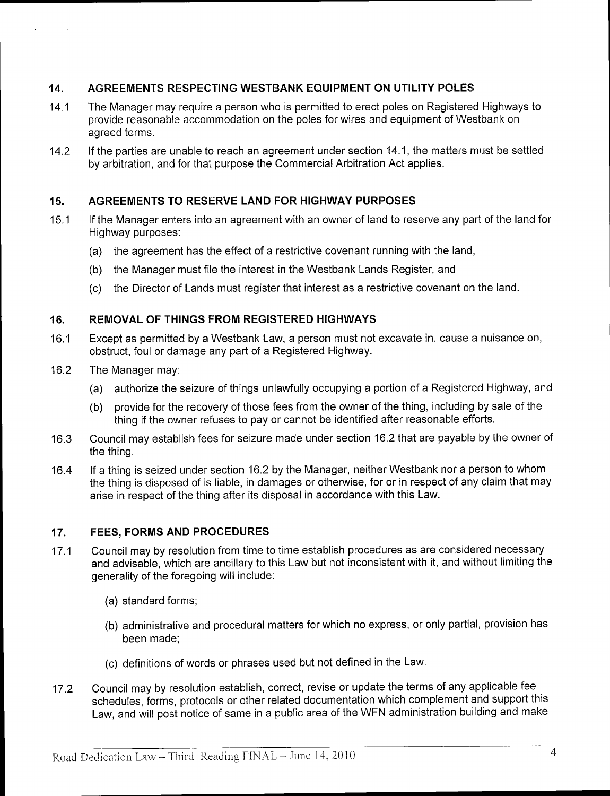## 14. AGREEMENTS RESPECTING WESTBANK EQUIPMENT ON UTILITY POLES

- 14.1 The Manager may require <sup>a</sup> person who is permitted to erect poles on Registered Highways to provide reasonable accommodation on the poles for wires and equipment of Westbank on agreed terms.
- 14.2 If the parties are unable to reach an agreement under section 14.1, the matters must be settled by arbitration, and for that purpose the Commercial Arbitration Act applies.

#### 15. AGREEMENTS TO RESERVE LAND FOR HIGHWAY PURPOSES

- 15.1 If the Manager enters into an agreement with an owner of land to reserve any part of the land for Highway purposes:
	- a) the agreement has the effect of <sup>a</sup> restrictive covenant running with the land,
	- b) the Manager must file the interest in the Westbank Lands Register, and
	- c) the Director of Lands must register that interest as <sup>a</sup> restrictive covenant on the land.

#### 16. REMOVAL OF THINGS FROM REGISTERED HIGHWAYS

- 16.1 Except as permitted by <sup>a</sup> Westbank Law, a person must not excavate in, cause <sup>a</sup> nuisance on, obstruct, foul or damage any part of a Registered Highway.
- 16.2 The Manager may:
	- a) authorize the seizure of things unlawfully occupying <sup>a</sup> portion of <sup>a</sup> Registered Highway, and
	- b) provide for the recovery of those fees from the owner of the thing, including by sale of the thing if the owner refuses to pay or cannot be identified after reasonable efforts.
- 16.3 Council may establish fees for seizure made under section 16.2 that are payable by the owner of the thing.
- 16.4 If <sup>a</sup> thing is seized under section 16.2 by the Manager, neither Westbank nor <sup>a</sup> person to whom the thing is disposed of is liable, in damages or otherwise, for or in respect of any claim that may arise in respect of the thing after its disposal in accordance with this Law.

#### 17. FEES, FORMS AND PROCEDURES

- 17.1 Council may by resolution from time to time establish procedures as are considered necessary and advisable, which are ancillary to this Law but not inconsistent with it, and without limiting the generality of the foregoing will include:
	- a) standard forms;
	- b) administrative and procedural matters for which no express, or only partial, provision has been made;
	- c) definitions of words or phrases used but not defined in the Law.
- 17.2 Council may by resolution establish, correct, revise or update the terms of any applicable fee schedules, forms, protocols or other related documentation which complement and support this Law, and will post notice of same in a public area of the WFN administration building and make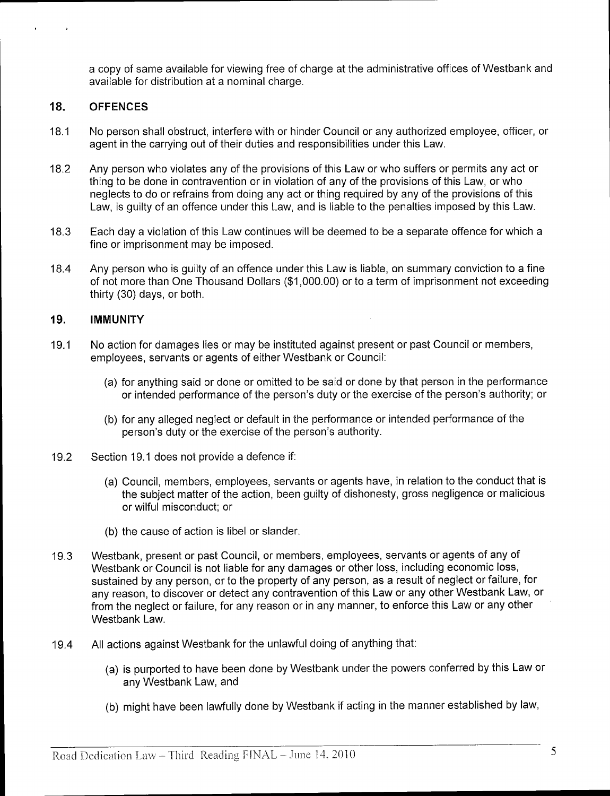a copy of same available for viewing free of charge at the administrative offices of Westbank and available for distribution at a nominal charge.

#### 18. OFFENCES

- 18.1 No person shall obstruct, interfere with or hinder Council or any authorized employee, officer, or agent in the carrying out of their duties and responsibilities under this Law.
- 18.2 Any person who violates any of the provisions of this Law or who suffers or permits any act or thing to be done in contravention or in violation of any of the provisions of this Law, or who neglects to do or refrains from doing any act or thing required by any of the provisions of this Law, is guilty of an offence under this Law, and is liable to the penalties imposed by this Law.
- 18.3 Each day <sup>a</sup> violation of this Law continues will be deemed to be <sup>a</sup> separate offence for which <sup>a</sup> fine or imprisonment may be imposed.
- 18.4 Any person who is guilty of an offence under this Law is liable, on summary conviction to <sup>a</sup> fine of not more than One Thousand Dollars (\$1,000,00) or to a term of imprisonment not exceeding thirty (30) days, or both.

#### 19. IMMUNITY

- 19.1 No action for damages lies or may be instituted against present or past Council or members, employees, servants or agents of either Westbank or Council:
	- a) for anything said or done or omitted to be said or done by that person in the performance or intended performance of the person's duty or the exercise of the person's authority; or
	- b) for any alleged neglect or default in the performance or intended performance of the person's duty or the exercise of the person's authority.
- 19.2 Section 19.1 does not provide <sup>a</sup> defence if:
	- a) Council, members, employees, servants or agents have, in relation to the conduct that is the subject matter of the action, been guilty of dishonesty, gross negligence or malicious or wilful misconduct; or
	- b) the cause of action is libel or slander.
- 19.3 Westbank, present or past Council, or members, employees, servants or agents of any of Westbank or Council is not liable for any damages or other loss, including economic loss, sustained by any person, or to the property of any person, as a result of neglect or failure, for any reason, to discover or detect any contravention of this Law or any other Westbank Law, or from the neglect or failure, for any reason or in any manner, to enforce this Law or any other Westbank Law.
- 19.4 All actions against Westbank for the unlawful doing of anything that:
	- a) is purported to have been done by Westbank under the powers conferred by this Law or any Westbank Law, and
	- b) might have been lawfully done by Westbank if acting in the manner established by law,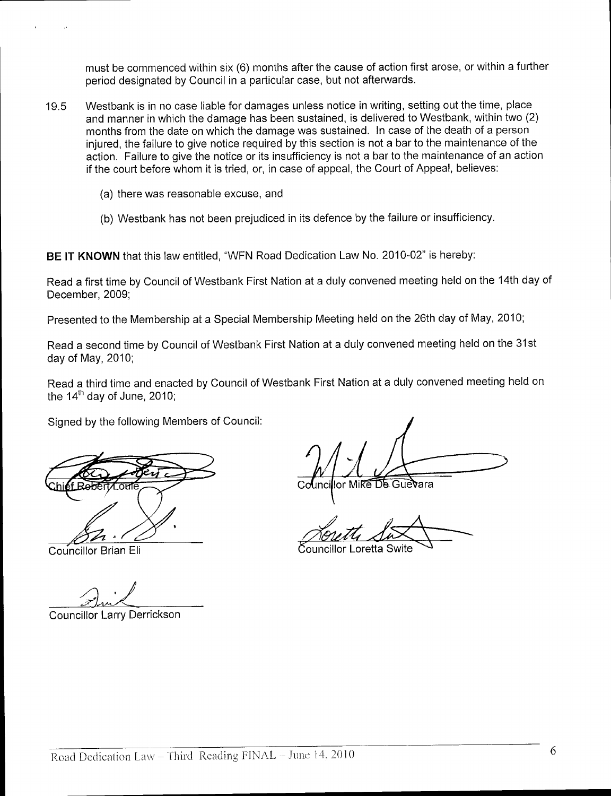must be commenced within six (6) months after the cause of action first arose, or within <sup>a</sup> further period designated by Council in a particular case, but not afterwards.

- 19.5 Westbank is in no case liable for damages unless notice in writing, setting out the time, place and manner in which the damage has been sustained, is delivered to Westbank, within two (2) months from the date on which the damage was sustained. In case of the death of a person injured, the failure to give notice required by this section is not a bar to the maintenance of the action. Failure to give the notice or its insufficiency is not a bar to the maintenance of an action if the court before whom it is tried, or, in case of appeal, the Court of Appeal, believes:
	- a) there was reasonable excuse, and
	- b) Westbank has not been prejudiced in its defence by the failure or insufficiency.

BE IT KNOWN that this law entitled, "WFN Road Dedication Law No. 2010-02" is hereby:

Read a first time by Council of Westbank First Nation at a duly convened meeting held on the 14th day of December, 2009;

Presented to the Membership at a Special Membership Meeting held on the 26th day of May, 2010;

Read a second time by Council of Westbank First Nation at a duly convened meeting held on the 31st day of May, 2010;

Read a third time and enacted by Council of Westbank First Nation at a duly convened meeting held on the  $14<sup>th</sup>$  day of June, 2010;

Signed by the following Members of Council:

Councillor Larry Derrickson

lor Mike De Guevara

i<br>!

Councillor Brian Eli **Councillor Loretta Swite**